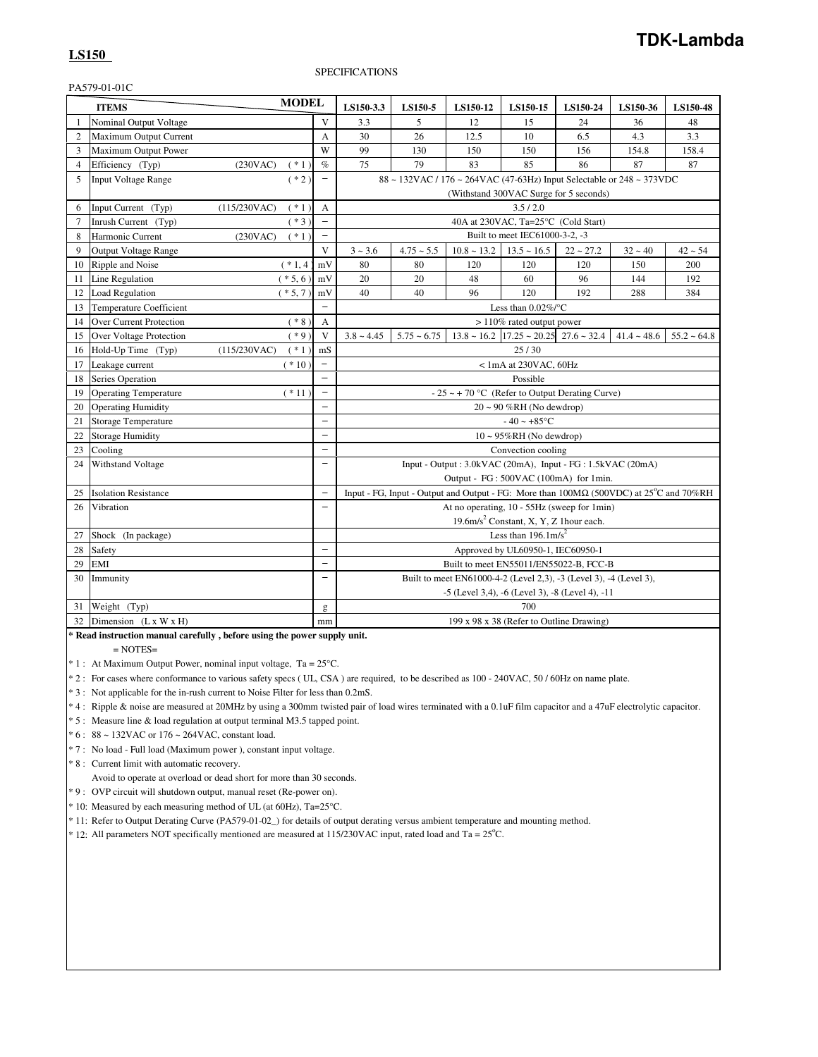## **LS150**

## SPECIFICATIONS

PA579-01-01C

|                | <b>ITEMS</b>                   | <b>MODEL</b>            |                          | LS150-3.3       | LS150-5       | LS150-12                                                                                                   | LS150-15                                             | LS150-24                               | LS150-36      | LS150-48      |
|----------------|--------------------------------|-------------------------|--------------------------|-----------------|---------------|------------------------------------------------------------------------------------------------------------|------------------------------------------------------|----------------------------------------|---------------|---------------|
| $\mathbf{1}$   | Nominal Output Voltage         |                         | V                        | 3.3             | 5             | 12                                                                                                         | 15                                                   | 24                                     | 36            | 48            |
| $\overline{2}$ | Maximum Output Current         |                         | A                        | 30              | 26            | 12.5                                                                                                       | 10                                                   | 6.5                                    | 4.3           | 3.3           |
| 3              | Maximum Output Power           |                         | W                        | 99              | 130           | 150                                                                                                        | 150                                                  | 156                                    | 154.8         | 158.4         |
| $\overline{4}$ | Efficiency (Typ)               | (230VAC)<br>$(* 1)$     | $\%$                     | 75              | 79            | 83                                                                                                         | 85                                                   | 86                                     | 87            | 87            |
| 5              | Input Voltage Range            | $(* 2)$                 | $\overline{\phantom{0}}$ |                 |               | 88 ~ 132VAC / 176 ~ 264VAC (47-63Hz) Input Selectable or 248 ~ 373VDC                                      |                                                      |                                        |               |               |
|                |                                |                         |                          |                 |               |                                                                                                            |                                                      | (Withstand 300VAC Surge for 5 seconds) |               |               |
| 6              | Input Current (Typ)            | $(* 1)$<br>(115/230VAC) | A                        |                 |               |                                                                                                            | 3.5/2.0                                              |                                        |               |               |
| 7              | Inrush Current (Typ)           | $(*3)$                  | $\qquad \qquad -$        |                 |               |                                                                                                            | 40A at 230VAC, Ta=25°C (Cold Start)                  |                                        |               |               |
| 8              | Harmonic Current               | (230VAC)<br>$(* 1)$     |                          |                 |               |                                                                                                            | Built to meet IEC61000-3-2, -3                       |                                        |               |               |
| 9              | <b>Output Voltage Range</b>    |                         | V                        | $3 - 3.6$       | $4.75 - 5.5$  | $10.8 \sim 13.2$                                                                                           | $13.5 \sim 16.5$                                     | $22 - 27.2$                            | $32 - 40$     | $42 - 54$     |
| 10             | Ripple and Noise               | $(* 1, 4)$              | mV                       | 80              | 80            | 120                                                                                                        | 120                                                  | 120                                    | 150           | 200           |
| 11             | Line Regulation                | $(* 5, 6)$              | mV                       | 20              | 20            | 48                                                                                                         | 60                                                   | 96                                     | 144           | 192           |
| 12             | <b>Load Regulation</b>         | $(* 5, 7)$              | mV                       | 40              | 40            | 96                                                                                                         | 120                                                  | 192                                    | 288           | 384           |
| 13             | Temperature Coefficient        |                         |                          |                 |               |                                                                                                            | Less than $0.02\%$ /°C                               |                                        |               |               |
| 14             | <b>Over Current Protection</b> | $(* 8)$                 | А                        |                 |               |                                                                                                            | > 110% rated output power                            |                                        |               |               |
| 15             | Over Voltage Protection        | $(*9)$                  | V                        | $3.8 \sim 4.45$ | $5.75 - 6.75$ |                                                                                                            | $13.8 \sim 16.2$ $17.25 \sim 20.25$ 27.6 $\sim 32.4$ |                                        | $41.4 - 48.6$ | $55.2 - 64.8$ |
| 16             | Hold-Up Time (Typ)             | (115/230VAC)<br>$(* 1)$ | mS                       |                 |               |                                                                                                            | 25/30                                                |                                        |               |               |
| 17             | Leakage current                | $(* 10)$                |                          |                 |               |                                                                                                            | $< 1$ mA at 230VAC, 60Hz                             |                                        |               |               |
| 18             | Series Operation               |                         |                          |                 |               |                                                                                                            | Possible                                             |                                        |               |               |
| 19             | <b>Operating Temperature</b>   | $(* 11)$                | $\overline{\phantom{0}}$ |                 |               | $-25 \sim +70$ °C (Refer to Output Derating Curve)                                                         |                                                      |                                        |               |               |
| 20             | <b>Operating Humidity</b>      |                         | $\overline{\phantom{0}}$ |                 |               |                                                                                                            | $20 \sim 90 \% RH$ (No dewdrop)                      |                                        |               |               |
| 21             | <b>Storage Temperature</b>     |                         | $\overline{\phantom{0}}$ |                 |               |                                                                                                            | $-40 - +85$ °C                                       |                                        |               |               |
| 22             | <b>Storage Humidity</b>        |                         | $\overline{\phantom{0}}$ |                 |               |                                                                                                            | $10 \sim 95\% RH$ (No dewdrop)                       |                                        |               |               |
| 23             | Cooling                        |                         | $\overline{\phantom{0}}$ |                 |               |                                                                                                            | Convection cooling                                   |                                        |               |               |
| 24             | Withstand Voltage              |                         | $\overline{\phantom{0}}$ |                 |               | Input - Output: 3.0kVAC (20mA), Input - FG: 1.5kVAC (20mA)                                                 |                                                      |                                        |               |               |
|                |                                |                         |                          |                 |               | Output - FG : 500VAC (100mA) for 1min.                                                                     |                                                      |                                        |               |               |
| 25             | <b>Isolation Resistance</b>    |                         | $\qquad \qquad -$        |                 |               | Input - FG, Input - Output and Output - FG: More than $100M\Omega$ (500VDC) at $25^{\circ}$ C and $70\%RH$ |                                                      |                                        |               |               |
| 26             | Vibration                      |                         | $\overline{\phantom{0}}$ |                 |               | At no operating, 10 - 55Hz (sweep for 1min)                                                                |                                                      |                                        |               |               |
|                |                                |                         |                          |                 |               |                                                                                                            | 19.6m/s <sup>2</sup> Constant, X, Y, Z 1hour each.   |                                        |               |               |
| 27             | Shock (In package)             |                         |                          |                 |               |                                                                                                            | Less than $196.1 \text{m/s}^2$                       |                                        |               |               |
| 28             | Safety                         |                         | $\overline{\phantom{0}}$ |                 |               |                                                                                                            | Approved by UL60950-1, IEC60950-1                    |                                        |               |               |
| 29             | <b>EMI</b>                     |                         | $\equiv$                 |                 |               | Built to meet EN55011/EN55022-B, FCC-B                                                                     |                                                      |                                        |               |               |
| 30             | Immunity                       |                         | $\overline{\phantom{0}}$ |                 |               | Built to meet EN61000-4-2 (Level 2,3), -3 (Level 3), -4 (Level 3),                                         |                                                      |                                        |               |               |
|                |                                |                         |                          |                 |               | -5 (Level 3,4), -6 (Level 3), -8 (Level 4), -11                                                            |                                                      |                                        |               |               |
| 31             | Weight (Typ)                   |                         | g                        |                 |               |                                                                                                            | 700                                                  |                                        |               |               |
| 32             | Dimension $(L x W x H)$        |                         | mm                       |                 |               |                                                                                                            | 199 x 98 x 38 (Refer to Outline Drawing)             |                                        |               |               |

**\* Read instruction manual carefully , before using the power supply unit.**

 $=$  NOTES $=$ 

\* 1 : At Maximum Output Power, nominal input voltage, Ta = 25°C.

\* 2 : For cases where conformance to various safety specs ( UL, CSA ) are required, to be described as 100 - 240VAC, 50 / 60Hz on name plate.

\* 3 : Not applicable for the in-rush current to Noise Filter for less than 0.2mS.

\* 4 : Ripple & noise are measured at 20MHz by using a 300mm twisted pair of load wires terminated with a 0.1uF film capacitor and a 47uF electrolytic capacitor.

\* 5 : Measure line & load regulation at output terminal M3.5 tapped point.

\* 6 : 88 ~ 132VAC or 176 ~ 264VAC, constant load.

\* 7 : No load - Full load (Maximum power ), constant input voltage.

\* 8 : Current limit with automatic recovery.

Avoid to operate at overload or dead short for more than 30 seconds.

\* 9 : OVP circuit will shutdown output, manual reset (Re-power on).

\* 10: Measured by each measuring method of UL (at 60Hz), Ta=25°C.

\* 11: Refer to Output Derating Curve (PA579-01-02\_) for details of output derating versus ambient temperature and mounting method.

 $*$  12: All parameters NOT specifically mentioned are measured at 115/230VAC input, rated load and Ta = 25°C.